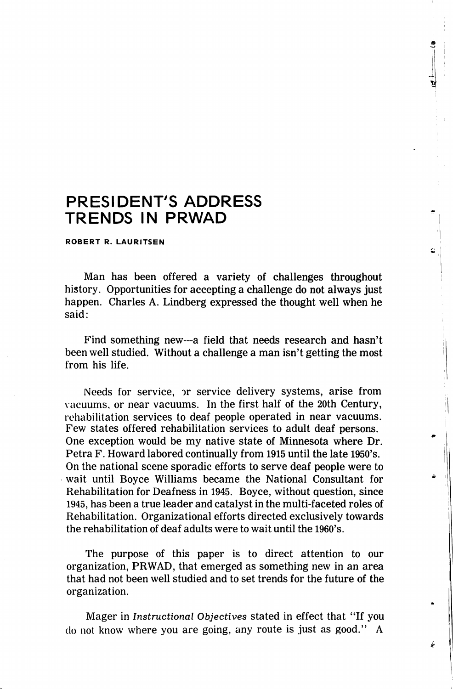## PRESIDENT'S ADDRESS TRENDS IN PRWAD

ROBERT R. LAURITSEN

Man has been offered a variety of challenges throughout history. Opportunities for accepting a challenge do not always just happen. Charles A. Lindberg expressed the thought well when he said;

ċ.

Find something new—a field that needs research and hasn't been well studied. Without a challenge a man isn't getting the most from his life.

Needs for service, or service delivery systems, arise from vacuums, or near vacuums. In the first half of the 20th Century, rehabilitation services to deaf people operated in near vacuums. Few states offered rehabilitation services to adult deaf persons. One exception would be my native state of Minnesota where Dr. Petra F. Howard labored continually from 1915 until the late 1950's. On the national scene sporadic efforts to serve deaf people were to wait until Boyce Williams became the National Consultant for Rehabilitation for Deafness in 1945. Boyce, without question, since 1945, has been a true leader and catalyst in the multi-faceted roles of Rehabilitation. Organizational efforts directed exclusively towards the rehabilitation of deaf adults were to wait until the 1960's.

The purpose of this paper is to direct attention to our organization, PRWAD, that emerged as something new in an area that had not been well studied and to set trends for the future of the organization.

Mager in Instructional Objectives stated in effect that "If you do not know where you are going, any route is just as good." A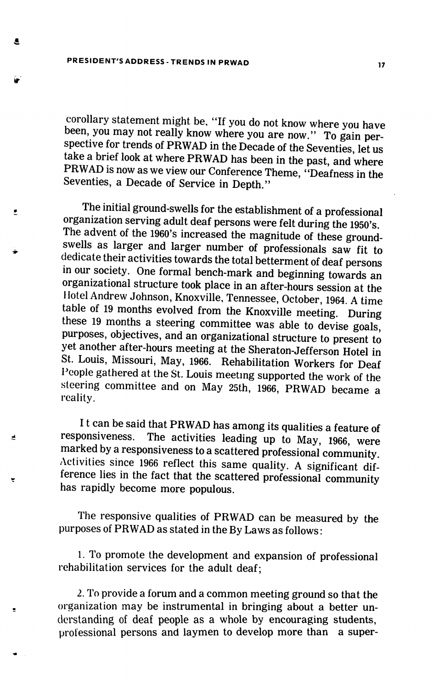PRESIDENT'S ADDRESS - TRENDS IN PRWAD

A

 $\bullet$ 

é

 $\blacksquare$ 

corollary statement might be, "If you do not know where you have been, you may not really know where you are now." To gain perspective for trends of PRWAD in the Decade of the Seventies, let us take a brief look at where PRWAD has been in the past, and where PRWAD is now as we view our Conference Theme, "Deafness in the Seventies, a Decade of Service in Depth."

The initial ground-swells for the establishment of a professional organization serving adult deaf persons were felt during the 1950's. The advent of the 1960's increased the magnitude of these groundswells as larger and larger number of professionals saw fit to dedicate their activities towards the total betterment of deaf persons in our society. One formal bench-mark and beginning towards an organizational structure took place in an after-hours session at the Hotel Andrew Johnson, Knoxville, Tennessee, October, 1964. A time table of 19 months evolved from the Knoxville meeting. During these 19 months a steering committee was able to devise goals, purposes, objectives, and an organizational structure to present to yet another after-hours meeting at the Sheraton-Jefferson Hotel in St. Louis, Missouri, May, 1966. Rehabilitation Workers for Deaf People gathered at the St. Louis meeting supported the work of the steering committee and on May 25th, 1966, PRWAD became a reality.

It can be said that PRWAD has among its qualities a feature of responsiveness. The activities leading up to May 1966, were The activities leading up to May, 1966, were marked by a responsiveness to a scattered professional community Activities since 1966 reflect this same quality. A significant dif ference lies in the fact that the scattered professional community has rapidly become more populous.

The responsive qualities of PRWAD can be measured by the purposes of PRWAD as stated in the By Laws as follows:

1. To promote the development and expansion of professional rehabilitation services for the adult deaf;

2. To provide a forum and a common meeting ground so that the organization may be instrumental in bringing about a better un derstanding of deaf people as a whole by encouraging students, professional persons and laymen to develop more than a super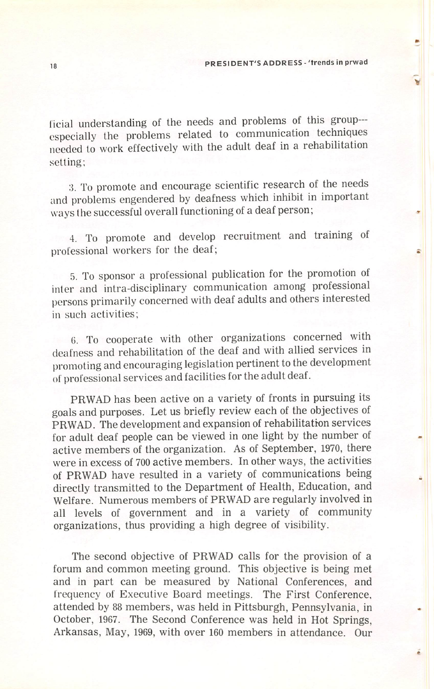licial understanding of the needs and problems of this group especially the problems related to communication techniques needed to work effectively with the adult deaf in a rehabilitation setting;

:5. To promote and encourage scientific research of the needs and problems engendered by deafness which inhibit in important ways the successful overall functioning of a deaf person;

4. To promote and develop recruitment and training of professional workers for the deaf;

5. To sponsor a professional publication for the promotion of inter and intra-disciplinary communication among professional persons primarily concerned with deaf adults and others interested in such activities;

6. To cooperate with other organizations concerned with deafness and rehabilitation of the deaf and with allied services in promoting and encouraging legislation pertinent to the development of professional services and facilities for the adult deaf.

PRWAD has been active on a variety of fronts in pursuing its goals and purposes. Let us briefly review each of the objectives of PRWAD. The development and expansion of rehabilitation services for adult deaf people can be viewed in one light by the number of active members of the organization. As of September, 1970, there were in excess of 700 active members. In other ways, the activities of PRWAD have resulted in a variety of communications being directly transmitted to the Department of Health, Education, and Welfare. Numerous members of PRWAD are regularly involved in all levels of government and in a variety of community organizations, thus providing a high degree of visibility.

The second objective of PRWAD calls for the provision of a forum and common meeting ground. This objective is being met and in part can be measured by National Conferences, and frequency of Executive Board meetings. The First Conference, attended by 88 members, was held in Pittsburgh, Pennsylvania, in October, 1967. The Second Conference was held in Hot Springs. Arkansas, May, 1969, with over 160 members in attendance. Our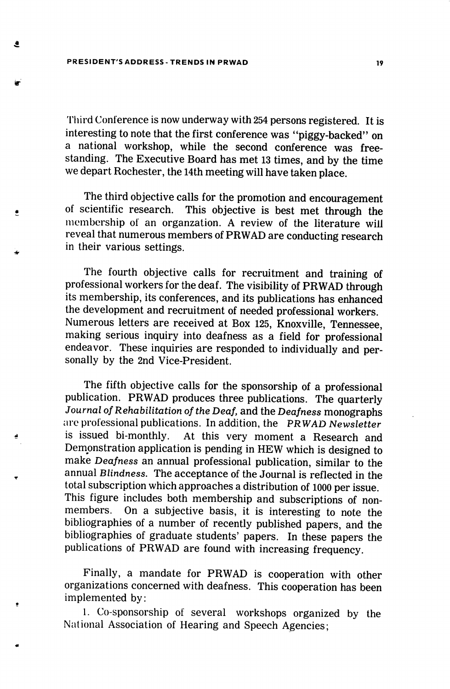PRESIDENT'S ADDRESS - TRENDS IN PRWAD 19

 $\bullet$ 

 $\bullet$ 

'I'hird Conference is now underway with 254 persons registered. It is interesting to note that the first conference was "piggy-backed" on a national workshop, while the second conference was free standing. The Executive Board has met 13 times, and by the time we depart Rochester, the 14th meeting will have taken place.

The third objective calls for the promotion and encouragement of scientific research. This objective is best met through the membership of an organzation. A review of the literature will reveal that numerous members of PRWAD are conducting research in their various settings.

The fourth objective calls for recruitment and training of professional workers for the deaf. The visibility of PRWAD through its membership, its conferences, and its publications has enhanced the development and recruitment of needed professional workers. Numerous letters are received at Box 125, Knoxville, Tennessee, making serious inquiry into deafness as a field for professional endeavor. These inquiries are responded to individually and per sonally by the 2nd Vice-President.

The fifth objective calls for the sponsorship of a professional publication. PRWAD produces three publications. The quarterly Journal of Rehabilitation of the Deaf, and the Deafness monographs are professional publications. In addition, the PRWAD Newsletter<br>is issued bi-monthly. At this very moment a Research and At this very moment a Research and Demonstration application is pending in HEW which is designed to make Deafness an annual professional publication, similar to the annual Blindness. The acceptance of the Journal is reflected in the total subscription which approaches a distribution of 1000 per issue. This figure includes both membership and subscriptions of nonmembers. On a subjective basis, it is interesting to note the bibliographies of a number of recently published papers, and the bibliographies of graduate students' papers. In these papers the publications of PRWAD are found with increasing frequency.

Finally, a mandate for PRWAD is cooperation with other organizations concerned with deafness. This cooperation has been implemented by:

1. Co-sponsorship of several workshops organized by the National Association of Hearing and Speech Agencies;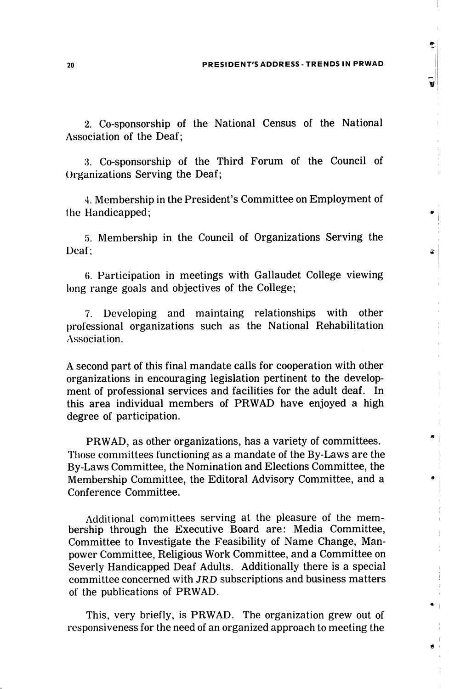w

2. Co-sponsorship of the National Census of the National Association of the Deaf;

3. Co-sponsorship of the Third Forum of the Council of Organizations Serving the Deaf;

4. Membership in the President's Committee on Employment of the Handicapped;

5. Membership in the Council of Organizations Serving the Deaf;

6. Participation in meetings with Gallaudet College viewing long range goals and objectives of the College;

7. Developing and maintaing relationships with other professional organizations such as the National Rehabilitation Association.

A second part of this final mandate calls for cooperation with other organizations in encouraging legislation pertinent to the develop ment of professional services and facilities for the adult deaf. In this area individual members of PRWAD have enjoyed a high degree of participation.

PRWAD, as other organizations, has a variety of committees. Those committees functioning as a mandate of the By-Laws are the By-Laws Committee, the Nomination and Elections Committee, the Membership Committee, the Editoral Advisory Committee, and a Conference Committee.

Additional committees serving at the pleasure of the mem bership through the Executive Board are: Media Committee, Committee to Investigate the Feasibility of Name Change, Man power Committee, Religious Work Committee, and a Committee on Severly Handicapped Deaf Adults. Additionally there is a special committee concerned with JRD subscriptions and business matters of the publications of PRWAD.

This, very briefly, is PRWAD. The organization grew out of responsiveness for the need of an organized approach to meeting the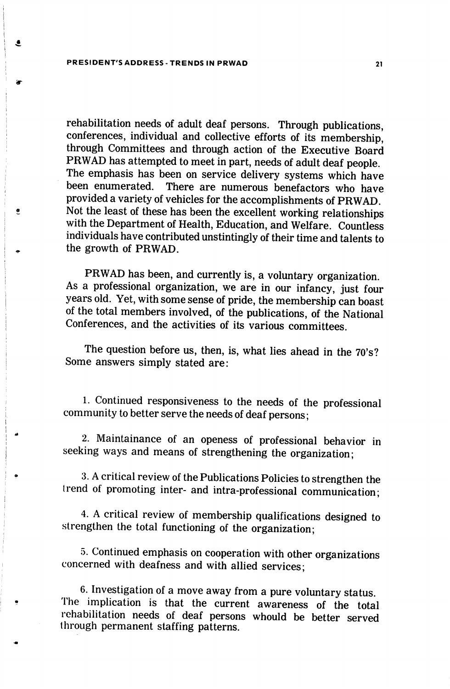## PRESIDENT'S ADDRESS-TRENDS IN PRWAD 21

٤

 $\bullet$ 

rehabilitation needs of adult deaf persons. Through publications, conferences, individual and collective efforts of its membership, through Committees and through action of the Executive Board PRWAD has attempted to meet in part, needs of adult deaf people. The emphasis has been on service delivery systems which have been enumerated. There are numerous benefactors who have provided a variety of vehicles for the accomplishments of PRWAD. Not the least of these has been the excellent working relationships with the Department of Health, Education, and Welfare. Countless individuals have contributed unstintingly of their time and talents to the growth of PRWAD.

PRWAD has been, and currently is, a voluntary organization. As a professional organization, we are in our infancy, just four years old. Yet, with some sense of pride, the membership can boast of the total members involved, of the publications, of the National Conferences, and the activities of its various committees.

The question before us, then, is, what lies ahead in the 70's? Some answers simply stated are;

1. Continued responsiveness to the needs of the professional community to better serve the needs of deaf persons;

2. Maintainance of an openess of professional behavior in seeking ways and means of strengthening the organization;

3. A critical review of the Publications Policies to strengthen the trend of promoting inter- and intra-professional communication;

4. A critical review of membership qualifications designed to strengthen the total functioning of the organization;

.5. Continued emphasis on cooperation with other organizations concerned with deafness and with allied services;

6. Investigation of a move away from a pure voluntary status. The implication is that the current awareness of the total rehabilitation needs of deaf persons whould be better served through permanent staffing patterns.